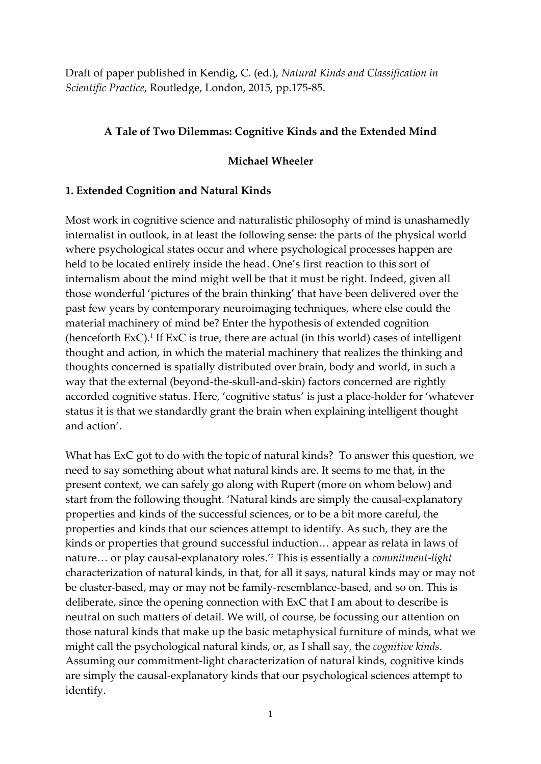Draft of paper published in Kendig, C. (ed.), *Natural Kinds and Classification in Scientific Practice*, Routledge, London, 2015, pp.175-85.

# **A Tale of Two Dilemmas: Cognitive Kinds and the Extended Mind**

#### **Michael Wheeler**

#### **1. Extended Cognition and Natural Kinds**

Most work in cognitive science and naturalistic philosophy of mind is unashamedly internalist in outlook, in at least the following sense: the parts of the physical world where psychological states occur and where psychological processes happen are held to be located entirely inside the head. One's first reaction to this sort of internalism about the mind might well be that it must be right. Indeed, given all those wonderful 'pictures of the brain thinking' that have been delivered over the past few years by contemporary neuroimaging techniques, where else could the material machinery of mind be? Enter the hypothesis of extended cognition (henceforth  $ExC$ ).<sup>1</sup> If  $ExC$  is true, there are actual (in this world) cases of intelligent thought and action, in which the material machinery that realizes the thinking and thoughts concerned is spatially distributed over brain, body and world, in such a way that the external (beyond-the-skull-and-skin) factors concerned are rightly accorded cognitive status. Here, 'cognitive status' is just a place-holder for 'whatever status it is that we standardly grant the brain when explaining intelligent thought and action'.

What has ExC got to do with the topic of natural kinds? To answer this question, we need to say something about what natural kinds are. It seems to me that, in the present context, we can safely go along with Rupert (more on whom below) and start from the following thought. 'Natural kinds are simply the causal-explanatory properties and kinds of the successful sciences, or to be a bit more careful, the properties and kinds that our sciences attempt to identify. As such, they are the kinds or properties that ground successful induction… appear as relata in laws of nature… or play causal-explanatory roles.' <sup>2</sup> This is essentially a *commitment-light* characterization of natural kinds, in that, for all it says, natural kinds may or may not be cluster-based, may or may not be family-resemblance-based, and so on. This is deliberate, since the opening connection with ExC that I am about to describe is neutral on such matters of detail. We will, of course, be focussing our attention on those natural kinds that make up the basic metaphysical furniture of minds, what we might call the psychological natural kinds, or, as I shall say, the *cognitive kinds*. Assuming our commitment-light characterization of natural kinds, cognitive kinds are simply the causal-explanatory kinds that our psychological sciences attempt to identify.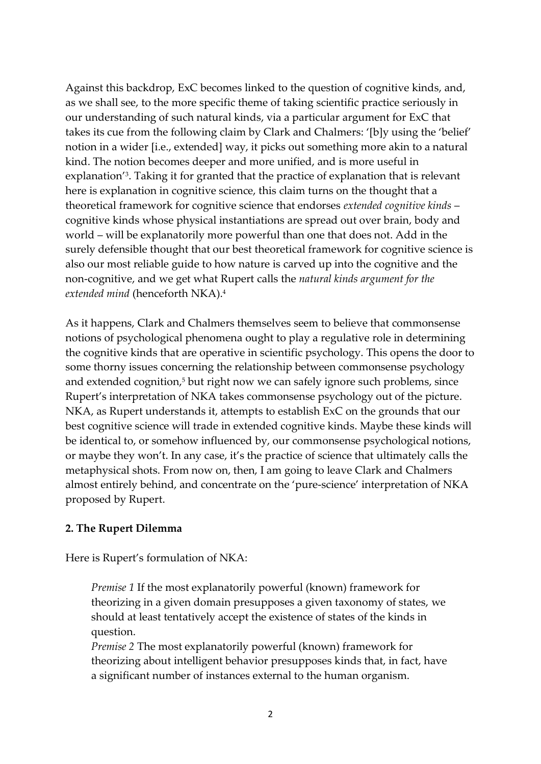Against this backdrop, ExC becomes linked to the question of cognitive kinds, and, as we shall see, to the more specific theme of taking scientific practice seriously in our understanding of such natural kinds, via a particular argument for ExC that takes its cue from the following claim by Clark and Chalmers: '[b]y using the 'belief' notion in a wider [i.e., extended] way, it picks out something more akin to a natural kind. The notion becomes deeper and more unified, and is more useful in explanation'<sup>3</sup> . Taking it for granted that the practice of explanation that is relevant here is explanation in cognitive science, this claim turns on the thought that a theoretical framework for cognitive science that endorses *extended cognitive kinds* – cognitive kinds whose physical instantiations are spread out over brain, body and world – will be explanatorily more powerful than one that does not. Add in the surely defensible thought that our best theoretical framework for cognitive science is also our most reliable guide to how nature is carved up into the cognitive and the non-cognitive, and we get what Rupert calls the *natural kinds argument for the extended mind* (henceforth NKA).<sup>4</sup>

As it happens, Clark and Chalmers themselves seem to believe that commonsense notions of psychological phenomena ought to play a regulative role in determining the cognitive kinds that are operative in scientific psychology. This opens the door to some thorny issues concerning the relationship between commonsense psychology and extended cognition,<sup>5</sup> but right now we can safely ignore such problems, since Rupert's interpretation of NKA takes commonsense psychology out of the picture. NKA, as Rupert understands it, attempts to establish ExC on the grounds that our best cognitive science will trade in extended cognitive kinds. Maybe these kinds will be identical to, or somehow influenced by, our commonsense psychological notions, or maybe they won't. In any case, it's the practice of science that ultimately calls the metaphysical shots. From now on, then, I am going to leave Clark and Chalmers almost entirely behind, and concentrate on the 'pure-science' interpretation of NKA proposed by Rupert.

# **2. The Rupert Dilemma**

Here is Rupert's formulation of NKA:

*Premise 1* If the most explanatorily powerful (known) framework for theorizing in a given domain presupposes a given taxonomy of states, we should at least tentatively accept the existence of states of the kinds in question.

*Premise 2* The most explanatorily powerful (known) framework for theorizing about intelligent behavior presupposes kinds that, in fact, have a significant number of instances external to the human organism.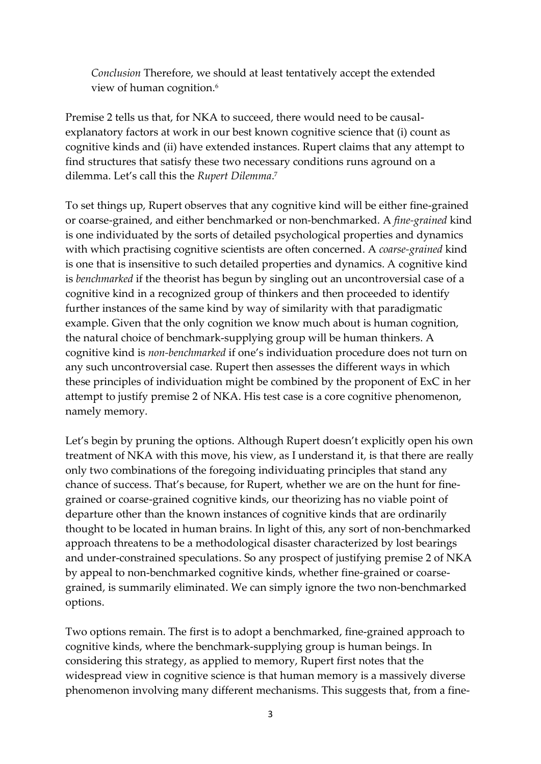*Conclusion* Therefore, we should at least tentatively accept the extended view of human cognition. 6

Premise 2 tells us that, for NKA to succeed, there would need to be causalexplanatory factors at work in our best known cognitive science that (i) count as cognitive kinds and (ii) have extended instances. Rupert claims that any attempt to find structures that satisfy these two necessary conditions runs aground on a dilemma. Let's call this the *Rupert Dilemma*. 7

To set things up, Rupert observes that any cognitive kind will be either fine-grained or coarse-grained, and either benchmarked or non-benchmarked. A *fine-grained* kind is one individuated by the sorts of detailed psychological properties and dynamics with which practising cognitive scientists are often concerned. A *coarse-grained* kind is one that is insensitive to such detailed properties and dynamics. A cognitive kind is *benchmarked* if the theorist has begun by singling out an uncontroversial case of a cognitive kind in a recognized group of thinkers and then proceeded to identify further instances of the same kind by way of similarity with that paradigmatic example. Given that the only cognition we know much about is human cognition, the natural choice of benchmark-supplying group will be human thinkers. A cognitive kind is *non-benchmarked* if one's individuation procedure does not turn on any such uncontroversial case. Rupert then assesses the different ways in which these principles of individuation might be combined by the proponent of ExC in her attempt to justify premise 2 of NKA. His test case is a core cognitive phenomenon, namely memory.

Let's begin by pruning the options. Although Rupert doesn't explicitly open his own treatment of NKA with this move, his view, as I understand it, is that there are really only two combinations of the foregoing individuating principles that stand any chance of success. That's because, for Rupert, whether we are on the hunt for finegrained or coarse-grained cognitive kinds, our theorizing has no viable point of departure other than the known instances of cognitive kinds that are ordinarily thought to be located in human brains. In light of this, any sort of non-benchmarked approach threatens to be a methodological disaster characterized by lost bearings and under-constrained speculations. So any prospect of justifying premise 2 of NKA by appeal to non-benchmarked cognitive kinds, whether fine-grained or coarsegrained, is summarily eliminated. We can simply ignore the two non-benchmarked options.

Two options remain. The first is to adopt a benchmarked, fine-grained approach to cognitive kinds, where the benchmark-supplying group is human beings. In considering this strategy, as applied to memory, Rupert first notes that the widespread view in cognitive science is that human memory is a massively diverse phenomenon involving many different mechanisms. This suggests that, from a fine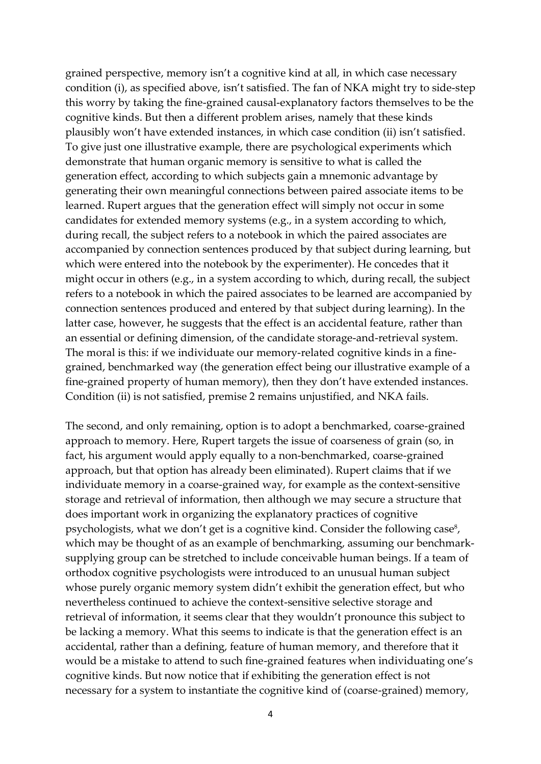grained perspective, memory isn't a cognitive kind at all, in which case necessary condition (i), as specified above, isn't satisfied. The fan of NKA might try to side-step this worry by taking the fine-grained causal-explanatory factors themselves to be the cognitive kinds. But then a different problem arises, namely that these kinds plausibly won't have extended instances, in which case condition (ii) isn't satisfied. To give just one illustrative example, there are psychological experiments which demonstrate that human organic memory is sensitive to what is called the generation effect, according to which subjects gain a mnemonic advantage by generating their own meaningful connections between paired associate items to be learned. Rupert argues that the generation effect will simply not occur in some candidates for extended memory systems (e.g., in a system according to which, during recall, the subject refers to a notebook in which the paired associates are accompanied by connection sentences produced by that subject during learning, but which were entered into the notebook by the experimenter). He concedes that it might occur in others (e.g., in a system according to which, during recall, the subject refers to a notebook in which the paired associates to be learned are accompanied by connection sentences produced and entered by that subject during learning). In the latter case, however, he suggests that the effect is an accidental feature, rather than an essential or defining dimension, of the candidate storage-and-retrieval system. The moral is this: if we individuate our memory-related cognitive kinds in a finegrained, benchmarked way (the generation effect being our illustrative example of a fine-grained property of human memory), then they don't have extended instances. Condition (ii) is not satisfied, premise 2 remains unjustified, and NKA fails.

The second, and only remaining, option is to adopt a benchmarked, coarse-grained approach to memory. Here, Rupert targets the issue of coarseness of grain (so, in fact, his argument would apply equally to a non-benchmarked, coarse-grained approach, but that option has already been eliminated). Rupert claims that if we individuate memory in a coarse-grained way, for example as the context-sensitive storage and retrieval of information, then although we may secure a structure that does important work in organizing the explanatory practices of cognitive psychologists, what we don't get is a cognitive kind. Consider the following case<sup>s</sup>, which may be thought of as an example of benchmarking, assuming our benchmarksupplying group can be stretched to include conceivable human beings. If a team of orthodox cognitive psychologists were introduced to an unusual human subject whose purely organic memory system didn't exhibit the generation effect, but who nevertheless continued to achieve the context-sensitive selective storage and retrieval of information, it seems clear that they wouldn't pronounce this subject to be lacking a memory. What this seems to indicate is that the generation effect is an accidental, rather than a defining, feature of human memory, and therefore that it would be a mistake to attend to such fine-grained features when individuating one's cognitive kinds. But now notice that if exhibiting the generation effect is not necessary for a system to instantiate the cognitive kind of (coarse-grained) memory,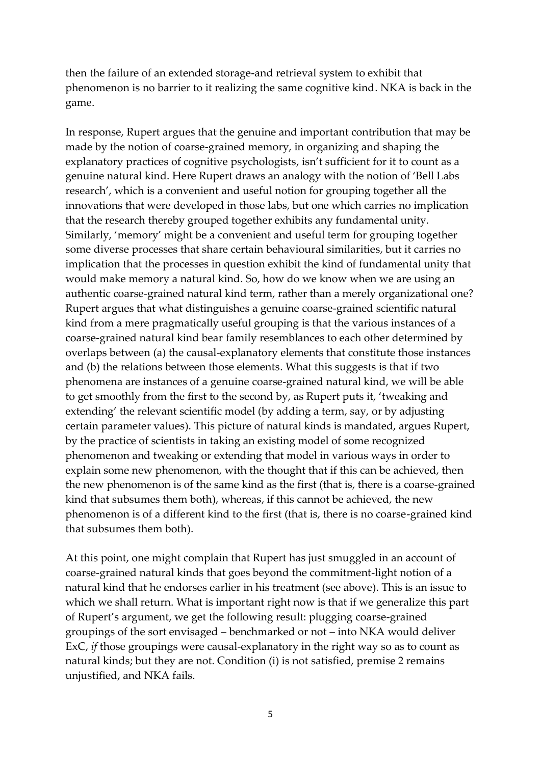then the failure of an extended storage-and retrieval system to exhibit that phenomenon is no barrier to it realizing the same cognitive kind. NKA is back in the game.

In response, Rupert argues that the genuine and important contribution that may be made by the notion of coarse-grained memory, in organizing and shaping the explanatory practices of cognitive psychologists, isn't sufficient for it to count as a genuine natural kind. Here Rupert draws an analogy with the notion of 'Bell Labs research', which is a convenient and useful notion for grouping together all the innovations that were developed in those labs, but one which carries no implication that the research thereby grouped together exhibits any fundamental unity. Similarly, 'memory' might be a convenient and useful term for grouping together some diverse processes that share certain behavioural similarities, but it carries no implication that the processes in question exhibit the kind of fundamental unity that would make memory a natural kind. So, how do we know when we are using an authentic coarse-grained natural kind term, rather than a merely organizational one? Rupert argues that what distinguishes a genuine coarse-grained scientific natural kind from a mere pragmatically useful grouping is that the various instances of a coarse-grained natural kind bear family resemblances to each other determined by overlaps between (a) the causal-explanatory elements that constitute those instances and (b) the relations between those elements. What this suggests is that if two phenomena are instances of a genuine coarse-grained natural kind, we will be able to get smoothly from the first to the second by, as Rupert puts it, 'tweaking and extending' the relevant scientific model (by adding a term, say, or by adjusting certain parameter values). This picture of natural kinds is mandated, argues Rupert, by the practice of scientists in taking an existing model of some recognized phenomenon and tweaking or extending that model in various ways in order to explain some new phenomenon, with the thought that if this can be achieved, then the new phenomenon is of the same kind as the first (that is, there is a coarse-grained kind that subsumes them both), whereas, if this cannot be achieved, the new phenomenon is of a different kind to the first (that is, there is no coarse-grained kind that subsumes them both).

At this point, one might complain that Rupert has just smuggled in an account of coarse-grained natural kinds that goes beyond the commitment-light notion of a natural kind that he endorses earlier in his treatment (see above). This is an issue to which we shall return. What is important right now is that if we generalize this part of Rupert's argument, we get the following result: plugging coarse-grained groupings of the sort envisaged – benchmarked or not – into NKA would deliver ExC, *if* those groupings were causal-explanatory in the right way so as to count as natural kinds; but they are not. Condition (i) is not satisfied, premise 2 remains unjustified, and NKA fails.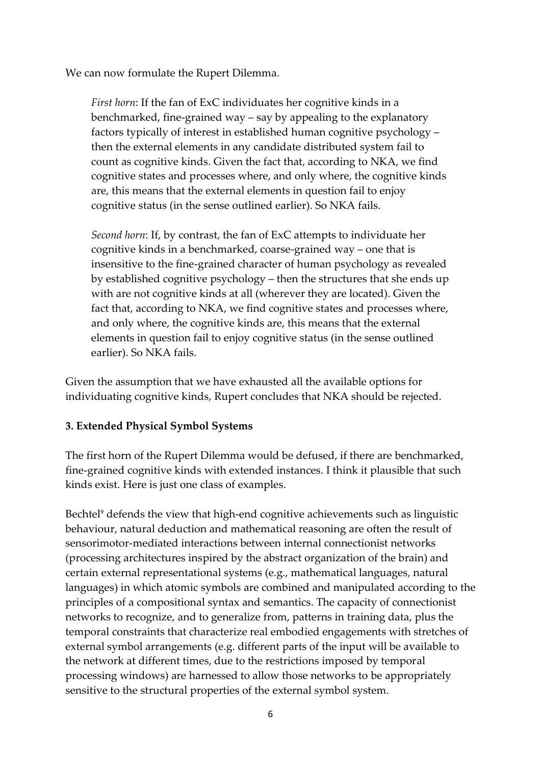We can now formulate the Rupert Dilemma.

*First horn*: If the fan of ExC individuates her cognitive kinds in a benchmarked, fine-grained way – say by appealing to the explanatory factors typically of interest in established human cognitive psychology – then the external elements in any candidate distributed system fail to count as cognitive kinds. Given the fact that, according to NKA, we find cognitive states and processes where, and only where, the cognitive kinds are, this means that the external elements in question fail to enjoy cognitive status (in the sense outlined earlier). So NKA fails.

*Second horn*: If, by contrast, the fan of ExC attempts to individuate her cognitive kinds in a benchmarked, coarse-grained way – one that is insensitive to the fine-grained character of human psychology as revealed by established cognitive psychology – then the structures that she ends up with are not cognitive kinds at all (wherever they are located). Given the fact that, according to NKA, we find cognitive states and processes where, and only where, the cognitive kinds are, this means that the external elements in question fail to enjoy cognitive status (in the sense outlined earlier). So NKA fails.

Given the assumption that we have exhausted all the available options for individuating cognitive kinds, Rupert concludes that NKA should be rejected.

# **3. Extended Physical Symbol Systems**

The first horn of the Rupert Dilemma would be defused, if there are benchmarked, fine-grained cognitive kinds with extended instances. I think it plausible that such kinds exist. Here is just one class of examples.

Bechtel<sup>9</sup> defends the view that high-end cognitive achievements such as linguistic behaviour, natural deduction and mathematical reasoning are often the result of sensorimotor-mediated interactions between internal connectionist networks (processing architectures inspired by the abstract organization of the brain) and certain external representational systems (e.g., mathematical languages, natural languages) in which atomic symbols are combined and manipulated according to the principles of a compositional syntax and semantics. The capacity of connectionist networks to recognize, and to generalize from, patterns in training data, plus the temporal constraints that characterize real embodied engagements with stretches of external symbol arrangements (e.g. different parts of the input will be available to the network at different times, due to the restrictions imposed by temporal processing windows) are harnessed to allow those networks to be appropriately sensitive to the structural properties of the external symbol system.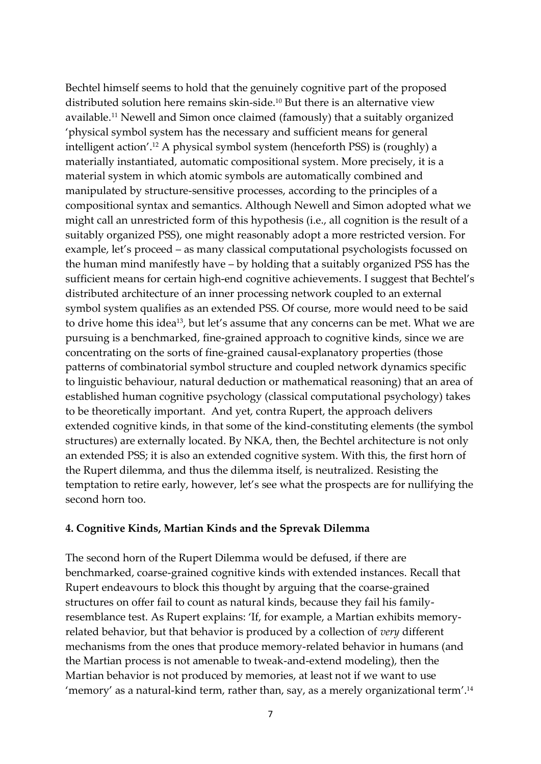Bechtel himself seems to hold that the genuinely cognitive part of the proposed distributed solution here remains skin-side.<sup>10</sup> But there is an alternative view available. <sup>11</sup> Newell and Simon once claimed (famously) that a suitably organized 'physical symbol system has the necessary and sufficient means for general intelligent action'. <sup>12</sup> A physical symbol system (henceforth PSS) is (roughly) a materially instantiated, automatic compositional system. More precisely, it is a material system in which atomic symbols are automatically combined and manipulated by structure-sensitive processes, according to the principles of a compositional syntax and semantics. Although Newell and Simon adopted what we might call an unrestricted form of this hypothesis (i.e., all cognition is the result of a suitably organized PSS), one might reasonably adopt a more restricted version. For example, let's proceed – as many classical computational psychologists focussed on the human mind manifestly have – by holding that a suitably organized PSS has the sufficient means for certain high-end cognitive achievements. I suggest that Bechtel's distributed architecture of an inner processing network coupled to an external symbol system qualifies as an extended PSS. Of course, more would need to be said to drive home this idea<sup>13</sup>, but let's assume that any concerns can be met. What we are pursuing is a benchmarked, fine-grained approach to cognitive kinds, since we are concentrating on the sorts of fine-grained causal-explanatory properties (those patterns of combinatorial symbol structure and coupled network dynamics specific to linguistic behaviour, natural deduction or mathematical reasoning) that an area of established human cognitive psychology (classical computational psychology) takes to be theoretically important. And yet, contra Rupert, the approach delivers extended cognitive kinds, in that some of the kind-constituting elements (the symbol structures) are externally located. By NKA, then, the Bechtel architecture is not only an extended PSS; it is also an extended cognitive system. With this, the first horn of the Rupert dilemma, and thus the dilemma itself, is neutralized. Resisting the temptation to retire early, however, let's see what the prospects are for nullifying the second horn too.

#### **4. Cognitive Kinds, Martian Kinds and the Sprevak Dilemma**

The second horn of the Rupert Dilemma would be defused, if there are benchmarked, coarse-grained cognitive kinds with extended instances. Recall that Rupert endeavours to block this thought by arguing that the coarse-grained structures on offer fail to count as natural kinds, because they fail his familyresemblance test. As Rupert explains: 'If, for example, a Martian exhibits memoryrelated behavior, but that behavior is produced by a collection of *very* different mechanisms from the ones that produce memory-related behavior in humans (and the Martian process is not amenable to tweak-and-extend modeling), then the Martian behavior is not produced by memories, at least not if we want to use 'memory' as a natural-kind term, rather than, say, as a merely organizational term'. $^{14}$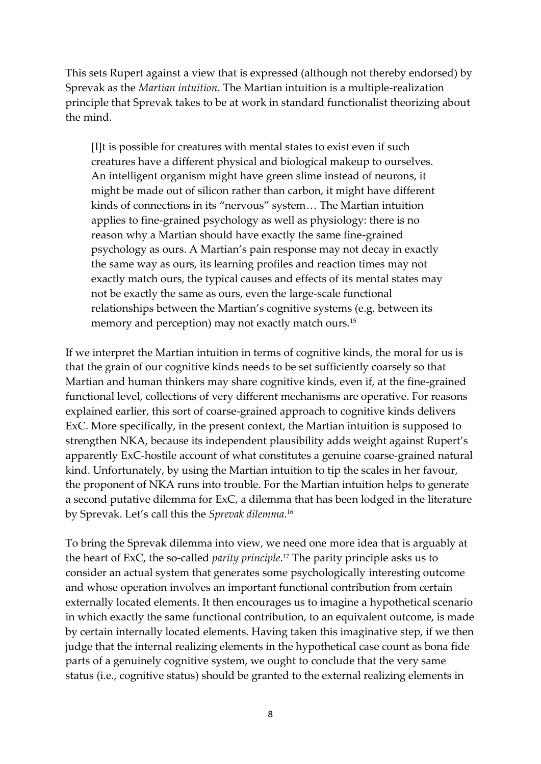This sets Rupert against a view that is expressed (although not thereby endorsed) by Sprevak as the *Martian intuition*. The Martian intuition is a multiple-realization principle that Sprevak takes to be at work in standard functionalist theorizing about the mind.

[I]t is possible for creatures with mental states to exist even if such creatures have a different physical and biological makeup to ourselves. An intelligent organism might have green slime instead of neurons, it might be made out of silicon rather than carbon, it might have different kinds of connections in its "nervous" system… The Martian intuition applies to fine-grained psychology as well as physiology: there is no reason why a Martian should have exactly the same fine-grained psychology as ours. A Martian's pain response may not decay in exactly the same way as ours, its learning profiles and reaction times may not exactly match ours, the typical causes and effects of its mental states may not be exactly the same as ours, even the large-scale functional relationships between the Martian's cognitive systems (e.g. between its memory and perception) may not exactly match ours.<sup>15</sup>

If we interpret the Martian intuition in terms of cognitive kinds, the moral for us is that the grain of our cognitive kinds needs to be set sufficiently coarsely so that Martian and human thinkers may share cognitive kinds, even if, at the fine-grained functional level, collections of very different mechanisms are operative. For reasons explained earlier, this sort of coarse-grained approach to cognitive kinds delivers ExC. More specifically, in the present context, the Martian intuition is supposed to strengthen NKA, because its independent plausibility adds weight against Rupert's apparently ExC-hostile account of what constitutes a genuine coarse-grained natural kind. Unfortunately, by using the Martian intuition to tip the scales in her favour, the proponent of NKA runs into trouble. For the Martian intuition helps to generate a second putative dilemma for ExC, a dilemma that has been lodged in the literature by Sprevak. Let's call this the *Sprevak dilemma*. 16

To bring the Sprevak dilemma into view, we need one more idea that is arguably at the heart of ExC, the so-called *parity principle*. <sup>17</sup> The parity principle asks us to consider an actual system that generates some psychologically interesting outcome and whose operation involves an important functional contribution from certain externally located elements. It then encourages us to imagine a hypothetical scenario in which exactly the same functional contribution, to an equivalent outcome, is made by certain internally located elements. Having taken this imaginative step, if we then judge that the internal realizing elements in the hypothetical case count as bona fide parts of a genuinely cognitive system, we ought to conclude that the very same status (i.e., cognitive status) should be granted to the external realizing elements in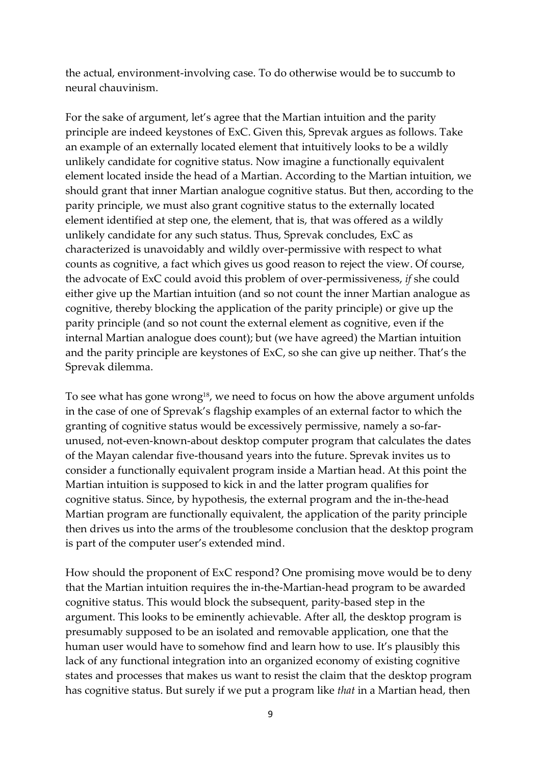the actual, environment-involving case. To do otherwise would be to succumb to neural chauvinism.

For the sake of argument, let's agree that the Martian intuition and the parity principle are indeed keystones of ExC. Given this, Sprevak argues as follows. Take an example of an externally located element that intuitively looks to be a wildly unlikely candidate for cognitive status. Now imagine a functionally equivalent element located inside the head of a Martian. According to the Martian intuition, we should grant that inner Martian analogue cognitive status. But then, according to the parity principle, we must also grant cognitive status to the externally located element identified at step one, the element, that is, that was offered as a wildly unlikely candidate for any such status. Thus, Sprevak concludes, ExC as characterized is unavoidably and wildly over-permissive with respect to what counts as cognitive, a fact which gives us good reason to reject the view. Of course, the advocate of ExC could avoid this problem of over-permissiveness, *if* she could either give up the Martian intuition (and so not count the inner Martian analogue as cognitive, thereby blocking the application of the parity principle) or give up the parity principle (and so not count the external element as cognitive, even if the internal Martian analogue does count); but (we have agreed) the Martian intuition and the parity principle are keystones of ExC, so she can give up neither. That's the Sprevak dilemma.

To see what has gone wrong<sup>18</sup>, we need to focus on how the above argument unfolds in the case of one of Sprevak's flagship examples of an external factor to which the granting of cognitive status would be excessively permissive, namely a so-farunused, not-even-known-about desktop computer program that calculates the dates of the Mayan calendar five-thousand years into the future. Sprevak invites us to consider a functionally equivalent program inside a Martian head. At this point the Martian intuition is supposed to kick in and the latter program qualifies for cognitive status. Since, by hypothesis, the external program and the in-the-head Martian program are functionally equivalent, the application of the parity principle then drives us into the arms of the troublesome conclusion that the desktop program is part of the computer user's extended mind.

How should the proponent of ExC respond? One promising move would be to deny that the Martian intuition requires the in-the-Martian-head program to be awarded cognitive status. This would block the subsequent, parity-based step in the argument. This looks to be eminently achievable. After all, the desktop program is presumably supposed to be an isolated and removable application, one that the human user would have to somehow find and learn how to use. It's plausibly this lack of any functional integration into an organized economy of existing cognitive states and processes that makes us want to resist the claim that the desktop program has cognitive status. But surely if we put a program like *that* in a Martian head, then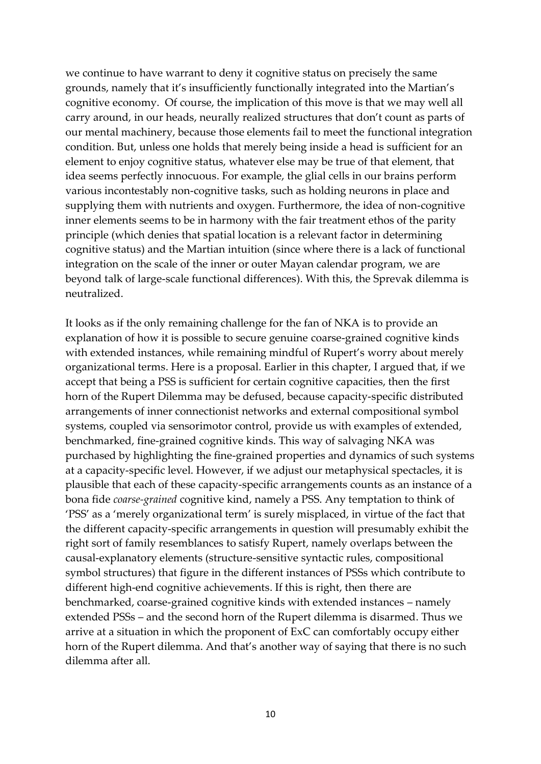we continue to have warrant to deny it cognitive status on precisely the same grounds, namely that it's insufficiently functionally integrated into the Martian's cognitive economy. Of course, the implication of this move is that we may well all carry around, in our heads, neurally realized structures that don't count as parts of our mental machinery, because those elements fail to meet the functional integration condition. But, unless one holds that merely being inside a head is sufficient for an element to enjoy cognitive status, whatever else may be true of that element, that idea seems perfectly innocuous. For example, the glial cells in our brains perform various incontestably non-cognitive tasks, such as holding neurons in place and supplying them with nutrients and oxygen. Furthermore, the idea of non-cognitive inner elements seems to be in harmony with the fair treatment ethos of the parity principle (which denies that spatial location is a relevant factor in determining cognitive status) and the Martian intuition (since where there is a lack of functional integration on the scale of the inner or outer Mayan calendar program, we are beyond talk of large-scale functional differences). With this, the Sprevak dilemma is neutralized.

It looks as if the only remaining challenge for the fan of NKA is to provide an explanation of how it is possible to secure genuine coarse-grained cognitive kinds with extended instances, while remaining mindful of Rupert's worry about merely organizational terms. Here is a proposal. Earlier in this chapter, I argued that, if we accept that being a PSS is sufficient for certain cognitive capacities, then the first horn of the Rupert Dilemma may be defused, because capacity-specific distributed arrangements of inner connectionist networks and external compositional symbol systems, coupled via sensorimotor control, provide us with examples of extended, benchmarked, fine-grained cognitive kinds. This way of salvaging NKA was purchased by highlighting the fine-grained properties and dynamics of such systems at a capacity-specific level. However, if we adjust our metaphysical spectacles, it is plausible that each of these capacity-specific arrangements counts as an instance of a bona fide *coarse-grained* cognitive kind, namely a PSS. Any temptation to think of 'PSS' as a 'merely organizational term' is surely misplaced, in virtue of the fact that the different capacity-specific arrangements in question will presumably exhibit the right sort of family resemblances to satisfy Rupert, namely overlaps between the causal-explanatory elements (structure-sensitive syntactic rules, compositional symbol structures) that figure in the different instances of PSSs which contribute to different high-end cognitive achievements. If this is right, then there are benchmarked, coarse-grained cognitive kinds with extended instances – namely extended PSSs – and the second horn of the Rupert dilemma is disarmed. Thus we arrive at a situation in which the proponent of ExC can comfortably occupy either horn of the Rupert dilemma. And that's another way of saying that there is no such dilemma after all.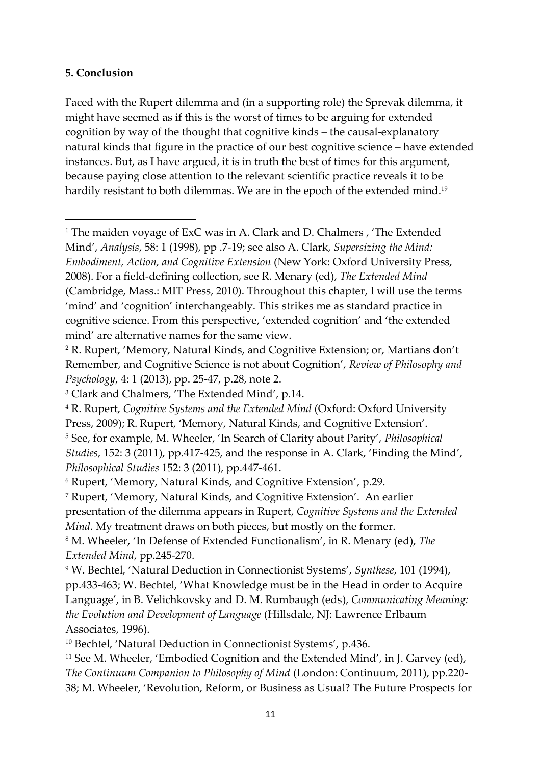### **5. Conclusion**

1

Faced with the Rupert dilemma and (in a supporting role) the Sprevak dilemma, it might have seemed as if this is the worst of times to be arguing for extended cognition by way of the thought that cognitive kinds – the causal-explanatory natural kinds that figure in the practice of our best cognitive science – have extended instances. But, as I have argued, it is in truth the best of times for this argument, because paying close attention to the relevant scientific practice reveals it to be hardily resistant to both dilemmas. We are in the epoch of the extended mind.<sup>19</sup>

<sup>&</sup>lt;sup>1</sup> The maiden voyage of ExC was in A. Clark and D. Chalmers, 'The Extended Mind', *Analysis*, 58: 1 (1998), pp .7-19; see also A. Clark, *Supersizing the Mind: Embodiment, Action, and Cognitive Extension* (New York: Oxford University Press, 2008). For a field-defining collection, see R. Menary (ed), *The Extended Mind* (Cambridge, Mass.: MIT Press, 2010). Throughout this chapter, I will use the terms 'mind' and 'cognition' interchangeably. This strikes me as standard practice in cognitive science. From this perspective, 'extended cognition' and 'the extended mind' are alternative names for the same view.

<sup>2</sup> R. Rupert, 'Memory, Natural Kinds, and Cognitive Extension; or, Martians don't Remember, and Cognitive Science is not about Cognition', *Review of Philosophy and Psychology*, 4: 1 (2013), pp. 25-47, p.28, note 2.

<sup>3</sup> Clark and Chalmers, 'The Extended Mind', p.14.

<sup>4</sup> R. Rupert, *Cognitive Systems and the Extended Mind* (Oxford: Oxford University Press, 2009); R. Rupert, 'Memory, Natural Kinds, and Cognitive Extension'. <sup>5</sup> See, for example, M. Wheeler, 'In Search of Clarity about Parity', *Philosophical Studies*, 152: 3 (2011), pp.417-425, and the response in A. Clark, 'Finding the Mind', *Philosophical Studies* 152: 3 (2011), pp.447-461.

<sup>6</sup> Rupert, 'Memory, Natural Kinds, and Cognitive Extension', p.29.

<sup>7</sup> Rupert, 'Memory, Natural Kinds, and Cognitive Extension'. An earlier presentation of the dilemma appears in Rupert, *Cognitive Systems and the Extended Mind*. My treatment draws on both pieces, but mostly on the former.

<sup>8</sup> M. Wheeler, 'In Defense of Extended Functionalism', in R. Menary (ed), *The Extended Mind*, pp.245-270.

<sup>9</sup> W. Bechtel, 'Natural Deduction in Connectionist Systems', *Synthese*, 101 (1994), pp.433-463; W. Bechtel, 'What Knowledge must be in the Head in order to Acquire Language', in B. Velichkovsky and D. M. Rumbaugh (eds), *Communicating Meaning: the Evolution and Development of Language* (Hillsdale, NJ: Lawrence Erlbaum Associates, 1996).

<sup>10</sup> Bechtel, 'Natural Deduction in Connectionist Systems', p.436.

<sup>&</sup>lt;sup>11</sup> See M. Wheeler, 'Embodied Cognition and the Extended Mind', in J. Garvey (ed), *The Continuum Companion to Philosophy of Mind* (London: Continuum, 2011), pp.220- 38; M. Wheeler, 'Revolution, Reform, or Business as Usual? The Future Prospects for